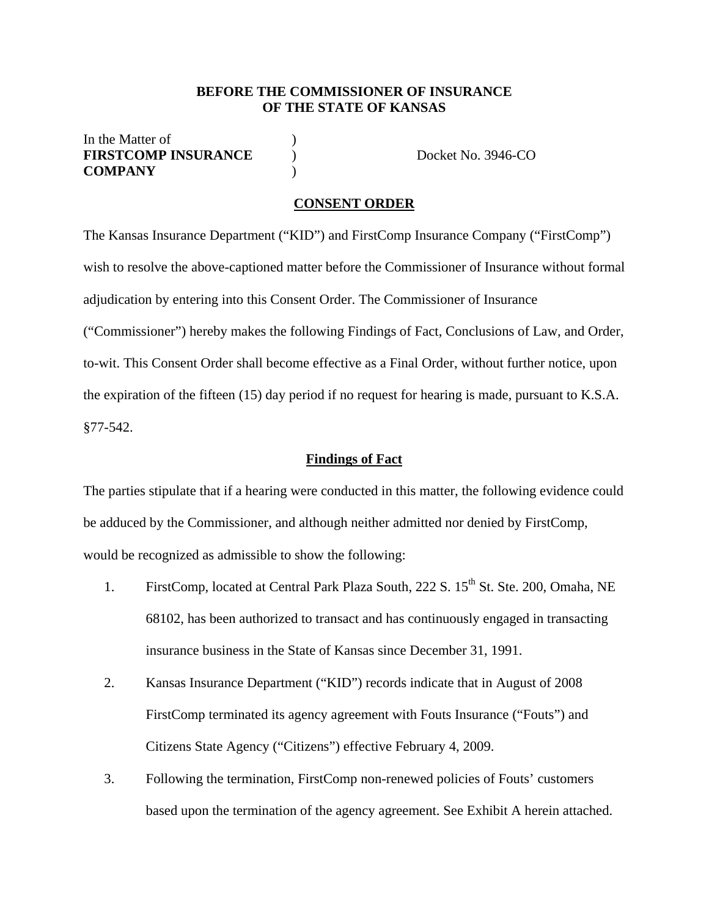#### **BEFORE THE COMMISSIONER OF INSURANCE OF THE STATE OF KANSAS**

## In the Matter of **FIRSTCOMP INSURANCE**  $\qquad$  Docket No. 3946-CO **COMPANY** )

#### **CONSENT ORDER**

The Kansas Insurance Department ("KID") and FirstComp Insurance Company ("FirstComp") wish to resolve the above-captioned matter before the Commissioner of Insurance without formal adjudication by entering into this Consent Order. The Commissioner of Insurance ("Commissioner") hereby makes the following Findings of Fact, Conclusions of Law, and Order, to-wit. This Consent Order shall become effective as a Final Order, without further notice, upon the expiration of the fifteen (15) day period if no request for hearing is made, pursuant to K.S.A. §77-542.

#### **Findings of Fact**

The parties stipulate that if a hearing were conducted in this matter, the following evidence could be adduced by the Commissioner, and although neither admitted nor denied by FirstComp, would be recognized as admissible to show the following:

- 1. FirstComp, located at Central Park Plaza South, 222 S. 15<sup>th</sup> St. Ste. 200, Omaha, NE 68102, has been authorized to transact and has continuously engaged in transacting insurance business in the State of Kansas since December 31, 1991.
- 2. Kansas Insurance Department ("KID") records indicate that in August of 2008 FirstComp terminated its agency agreement with Fouts Insurance ("Fouts") and Citizens State Agency ("Citizens") effective February 4, 2009.
- 3. Following the termination, FirstComp non-renewed policies of Fouts' customers based upon the termination of the agency agreement. See Exhibit A herein attached.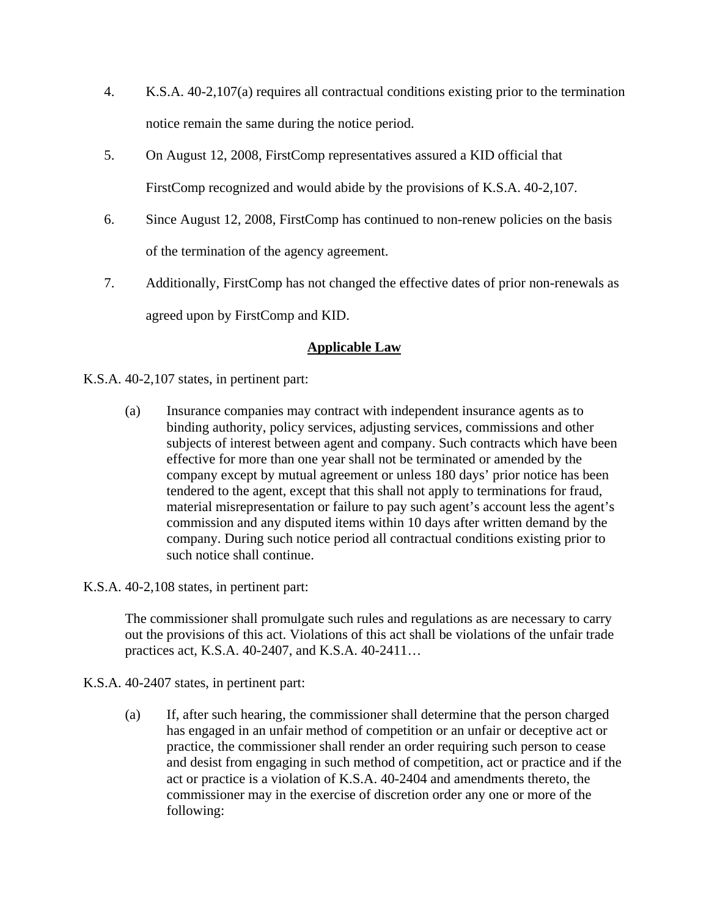- 4. K.S.A. 40-2,107(a) requires all contractual conditions existing prior to the termination notice remain the same during the notice period.
- 5. On August 12, 2008, FirstComp representatives assured a KID official that FirstComp recognized and would abide by the provisions of K.S.A. 40-2,107.
- 6. Since August 12, 2008, FirstComp has continued to non-renew policies on the basis of the termination of the agency agreement.
- 7. Additionally, FirstComp has not changed the effective dates of prior non-renewals as agreed upon by FirstComp and KID.

# **Applicable Law**

- K.S.A. 40-2,107 states, in pertinent part:
	- (a) Insurance companies may contract with independent insurance agents as to binding authority, policy services, adjusting services, commissions and other subjects of interest between agent and company. Such contracts which have been effective for more than one year shall not be terminated or amended by the company except by mutual agreement or unless 180 days' prior notice has been tendered to the agent, except that this shall not apply to terminations for fraud, material misrepresentation or failure to pay such agent's account less the agent's commission and any disputed items within 10 days after written demand by the company. During such notice period all contractual conditions existing prior to such notice shall continue.
- K.S.A. 40-2,108 states, in pertinent part:

The commissioner shall promulgate such rules and regulations as are necessary to carry out the provisions of this act. Violations of this act shall be violations of the unfair trade practices act, K.S.A. 40-2407, and K.S.A. 40-2411…

- K.S.A. 40-2407 states, in pertinent part:
	- (a) If, after such hearing, the commissioner shall determine that the person charged has engaged in an unfair method of competition or an unfair or deceptive act or practice, the commissioner shall render an order requiring such person to cease and desist from engaging in such method of competition, act or practice and if the act or practice is a violation of K.S.A. 40-2404 and amendments thereto, the commissioner may in the exercise of discretion order any one or more of the following: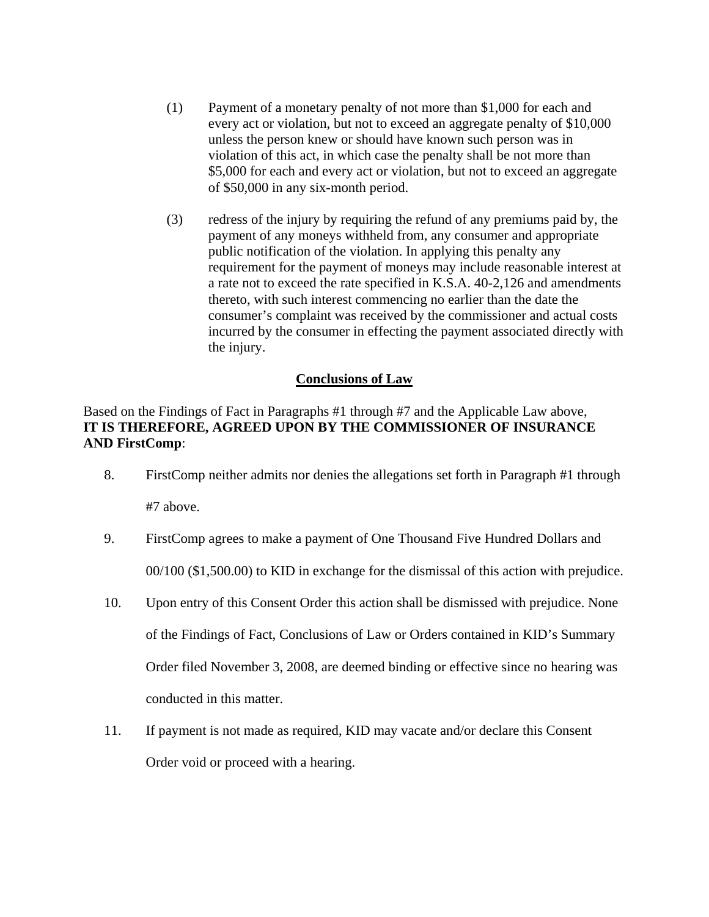- (1) Payment of a monetary penalty of not more than \$1,000 for each and every act or violation, but not to exceed an aggregate penalty of \$10,000 unless the person knew or should have known such person was in violation of this act, in which case the penalty shall be not more than \$5,000 for each and every act or violation, but not to exceed an aggregate of \$50,000 in any six-month period.
- (3) redress of the injury by requiring the refund of any premiums paid by, the payment of any moneys withheld from, any consumer and appropriate public notification of the violation. In applying this penalty any requirement for the payment of moneys may include reasonable interest at a rate not to exceed the rate specified in K.S.A. 40-2,126 and amendments thereto, with such interest commencing no earlier than the date the consumer's complaint was received by the commissioner and actual costs incurred by the consumer in effecting the payment associated directly with the injury.

## **Conclusions of Law**

Based on the Findings of Fact in Paragraphs #1 through #7 and the Applicable Law above, **IT IS THEREFORE, AGREED UPON BY THE COMMISSIONER OF INSURANCE AND FirstComp**:

- 8. FirstComp neither admits nor denies the allegations set forth in Paragraph #1 through #7 above.
- 9. FirstComp agrees to make a payment of One Thousand Five Hundred Dollars and 00/100 (\$1,500.00) to KID in exchange for the dismissal of this action with prejudice.
- 10. Upon entry of this Consent Order this action shall be dismissed with prejudice. None of the Findings of Fact, Conclusions of Law or Orders contained in KID's Summary Order filed November 3, 2008, are deemed binding or effective since no hearing was conducted in this matter.
- 11. If payment is not made as required, KID may vacate and/or declare this Consent Order void or proceed with a hearing.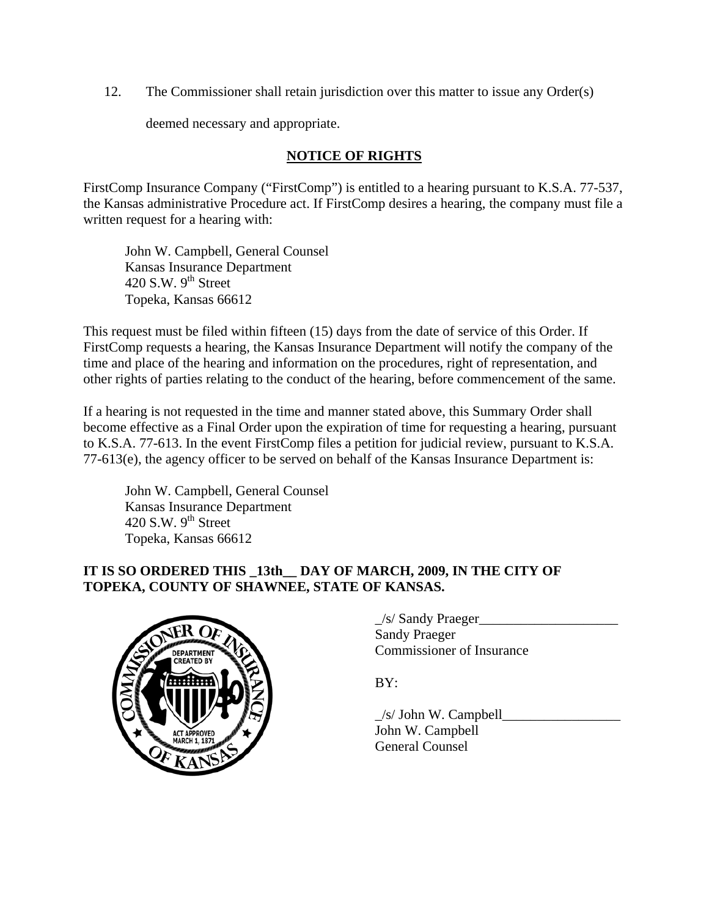12. The Commissioner shall retain jurisdiction over this matter to issue any Order(s)

deemed necessary and appropriate.

# **NOTICE OF RIGHTS**

FirstComp Insurance Company ("FirstComp") is entitled to a hearing pursuant to K.S.A. 77-537, the Kansas administrative Procedure act. If FirstComp desires a hearing, the company must file a written request for a hearing with:

 John W. Campbell, General Counsel Kansas Insurance Department 420 S.W.  $9<sup>th</sup>$  Street Topeka, Kansas 66612

This request must be filed within fifteen (15) days from the date of service of this Order. If FirstComp requests a hearing, the Kansas Insurance Department will notify the company of the time and place of the hearing and information on the procedures, right of representation, and other rights of parties relating to the conduct of the hearing, before commencement of the same.

If a hearing is not requested in the time and manner stated above, this Summary Order shall become effective as a Final Order upon the expiration of time for requesting a hearing, pursuant to K.S.A. 77-613. In the event FirstComp files a petition for judicial review, pursuant to K.S.A. 77-613(e), the agency officer to be served on behalf of the Kansas Insurance Department is:

 John W. Campbell, General Counsel Kansas Insurance Department 420 S.W.  $9^{th}$  Street Topeka, Kansas 66612

## **IT IS SO ORDERED THIS \_13th\_\_ DAY OF MARCH, 2009, IN THE CITY OF TOPEKA, COUNTY OF SHAWNEE, STATE OF KANSAS.**



|                                      | /s/ Sandy Praeger         |
|--------------------------------------|---------------------------|
| $\sqrt{R}$                           | <b>Sandy Praeger</b>      |
| <b>DEPARTMENT</b><br>$P$ constraints | Commissioner of Insurance |

 $\angle$ s/ John W. Campbell $\Box$  John W. Campbell General Counsel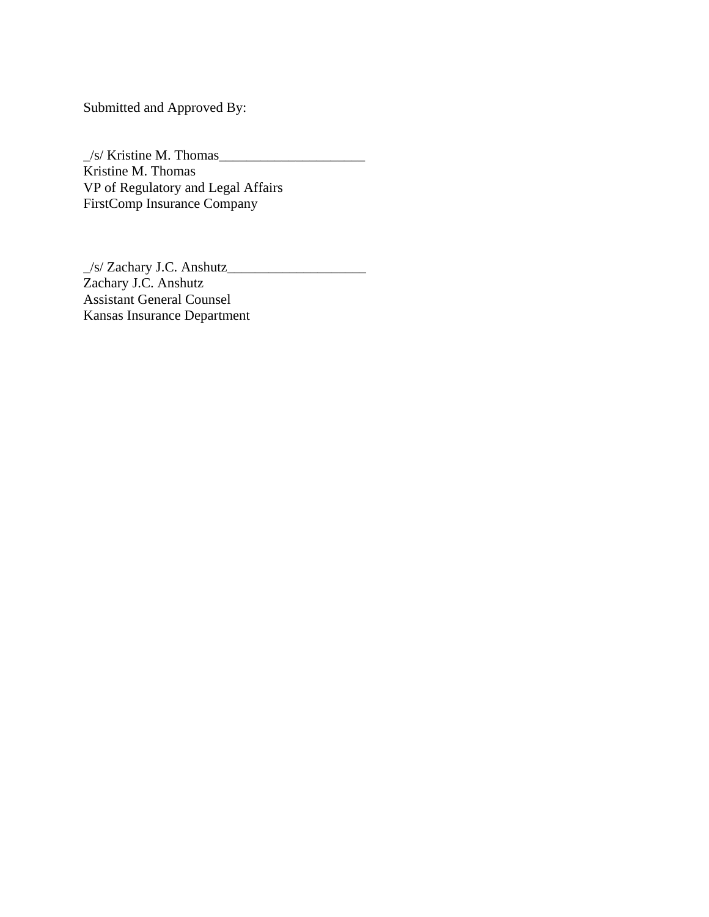Submitted and Approved By:

 $\angle$ /s/ Kristine M. Thomas Kristine M. Thomas VP of Regulatory and Legal Affairs FirstComp Insurance Company

\_/s/ Zachary J.C. Anshutz\_\_\_\_\_\_\_\_\_\_\_\_\_\_\_\_\_\_\_\_ Zachary J.C. Anshutz Assistant General Counsel Kansas Insurance Department